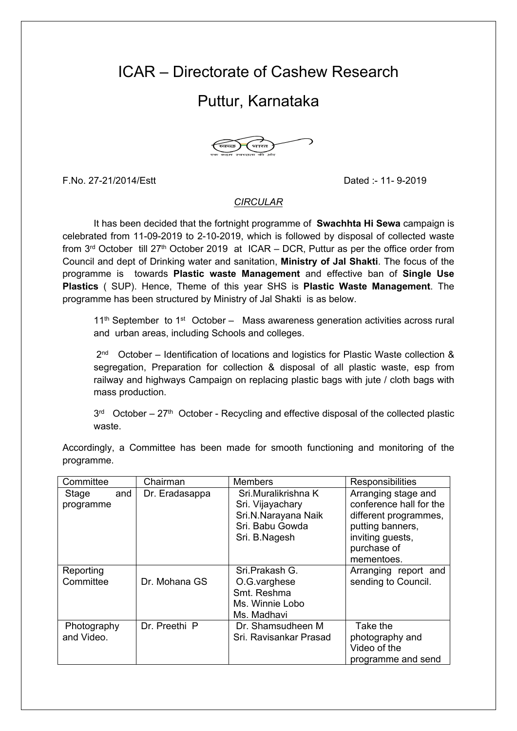## ICAR – Directorate of Cashew Research

## Puttur, Karnataka



F.No. 27-21/2014/Estt Dated :- 11- 9-2019

## *CIRCULAR*

It has been decided that the fortnight programme of **Swachhta Hi Sewa** campaign is celebrated from 11-09-2019 to 2-10-2019, which is followed by disposal of collected waste from  $3^{rd}$  October till 27<sup>th</sup> October 2019 at ICAR – DCR, Puttur as per the office order from Council and dept of Drinking water and sanitation, **Ministry of Jal Shakti**. The focus of the programme is towards **Plastic waste Management** and effective ban of **Single Use Plastics** ( SUP). Hence, Theme of this year SHS is **Plastic Waste Management**. The programme has been structured by Ministry of Jal Shakti is as below.

 $11<sup>th</sup>$  September to  $1<sup>st</sup>$  October – Mass awareness generation activities across rural and urban areas, including Schools and colleges.

2<sup>nd</sup> October – Identification of locations and logistics for Plastic Waste collection & segregation, Preparation for collection & disposal of all plastic waste, esp from railway and highways Campaign on replacing plastic bags with jute / cloth bags with mass production.

 $3<sup>rd</sup>$  October – 27<sup>th</sup> October - Recycling and effective disposal of the collected plastic waste.

Accordingly, a Committee has been made for smooth functioning and monitoring of the programme.

| Committee                 | Chairman       | <b>Members</b>                                                                                     | Responsibilities                                                                                                                             |
|---------------------------|----------------|----------------------------------------------------------------------------------------------------|----------------------------------------------------------------------------------------------------------------------------------------------|
| Stage<br>and<br>programme | Dr. Eradasappa | Sri.Muralikrishna K<br>Sri. Vijayachary<br>Sri.N.Narayana Naik<br>Sri. Babu Gowda<br>Sri. B.Nagesh | Arranging stage and<br>conference hall for the<br>different programmes,<br>putting banners,<br>inviting guests,<br>purchase of<br>mementoes. |
| Reporting<br>Committee    | Dr. Mohana GS  | Sri.Prakash G.<br>O.G.varghese<br>Smt. Reshma<br>Ms. Winnie Lobo<br>Ms. Madhavi                    | Arranging report and<br>sending to Council.                                                                                                  |
| Photography<br>and Video. | Dr. Preethi P  | Dr. Shamsudheen M<br>Sri. Ravisankar Prasad                                                        | Take the<br>photography and<br>Video of the<br>programme and send                                                                            |